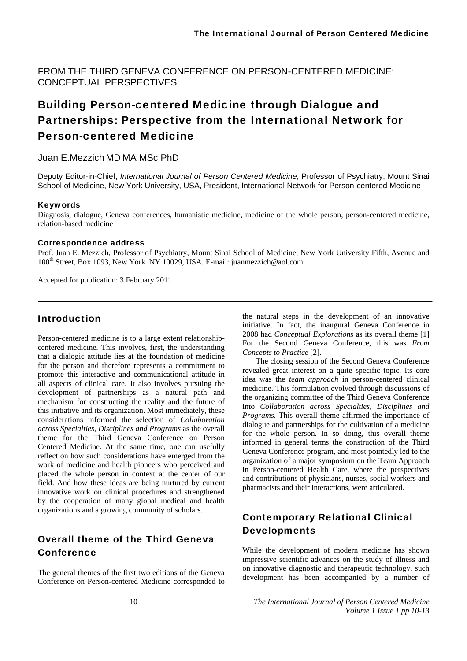FROM THE THIRD GENEVA CONFERENCE ON PERSON-CENTERED MEDICINE: CONCEPTUAL PERSPECTIVES

# Building Person-centered Medicine through Dialogue and Partnerships: Perspective from the International Network for Person-centered Medicine

Juan E.Mezzich MD MA MSc PhD

Deputy Editor-in-Chief, *International Journal of Person Centered Medicine*, Professor of Psychiatry, Mount Sinai School of Medicine, New York University, USA, President, International Network for Person-centered Medicine

#### Keywords

Diagnosis, dialogue, Geneva conferences, humanistic medicine, medicine of the whole person, person-centered medicine, relation-based medicine

#### Correspondence address

Prof. Juan E. Mezzich, Professor of Psychiatry, Mount Sinai School of Medicine, New York University Fifth, Avenue and 100<sup>th</sup> Street, Box 1093, New York NY 10029, USA. E-mail: juanmezzich@aol.com

Accepted for publication: 3 February 2011

#### Introduction

Person-centered medicine is to a large extent relationshipcentered medicine. This involves, first, the understanding that a dialogic attitude lies at the foundation of medicine for the person and therefore represents a commitment to promote this interactive and communicational attitude in all aspects of clinical care. It also involves pursuing the development of partnerships as a natural path and mechanism for constructing the reality and the future of this initiative and its organization. Most immediately, these considerations informed the selection of *Collaboration across Specialties, Disciplines and Programs* as the overall theme for the Third Geneva Conference on Person Centered Medicine. At the same time, one can usefully reflect on how such considerations have emerged from the work of medicine and health pioneers who perceived and placed the whole person in context at the center of our field. And how these ideas are being nurtured by current innovative work on clinical procedures and strengthened by the cooperation of many global medical and health organizations and a growing community of scholars.

# Overall theme of the Third Geneva **Conference**

The general themes of the first two editions of the Geneva Conference on Person-centered Medicine corresponded to

the natural steps in the development of an innovative initiative. In fact, the inaugural Geneva Conference in 2008 had *Conceptual Explorations* as its overall theme [1] For the Second Geneva Conference, this was *From Concepts to Practice* [2].

The closing session of the Second Geneva Conference revealed great interest on a quite specific topic. Its core idea was the *team approach* in person-centered clinical medicine. This formulation evolved through discussions of the organizing committee of the Third Geneva Conference into *Collaboration across Specialties, Disciplines and Programs.* This overall theme affirmed the importance of dialogue and partnerships for the cultivation of a medicine for the whole person. In so doing, this overall theme informed in general terms the construction of the Third Geneva Conference program, and most pointedly led to the organization of a major symposium on the Team Approach in Person-centered Health Care, where the perspectives and contributions of physicians, nurses, social workers and pharmacists and their interactions, were articulated.

### Contemporary Relational Clinical **Developments**

While the development of modern medicine has shown impressive scientific advances on the study of illness and on innovative diagnostic and therapeutic technology, such development has been accompanied by a number of

10 *The International Journal of Person Centered Medicine Volume 1 Issue 1 pp 10-13*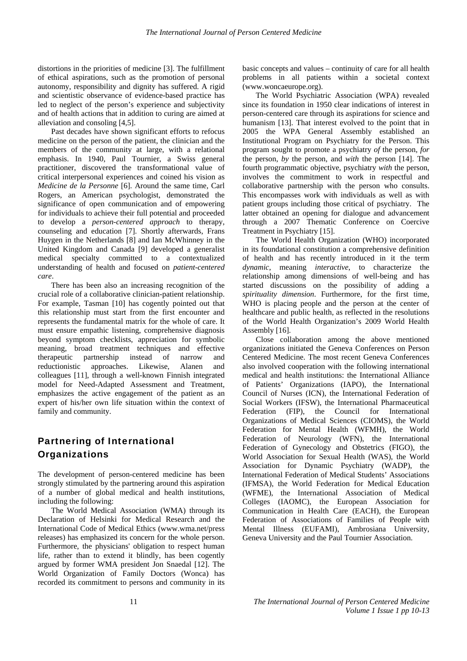distortions in the priorities of medicine [3]. The fulfillment of ethical aspirations, such as the promotion of personal autonomy, responsibility and dignity has suffered. A rigid and scientistic observance of evidence-based practice has led to neglect of the person's experience and subjectivity and of health actions that in addition to curing are aimed at alleviation and consoling [4,5].

Past decades have shown significant efforts to refocus medicine on the person of the patient, the clinician and the members of the community at large, with a relational emphasis. In 1940, Paul Tournier, a Swiss general practitioner, discovered the transformational value of critical interpersonal experiences and coined his vision as *Medicine de la Personne* [6]. Around the same time, Carl Rogers, an American psychologist, demonstrated the significance of open communication and of empowering for individuals to achieve their full potential and proceeded to develop a *person-centered approach* to therapy, counseling and education [7]. Shortly afterwards, Frans Huygen in the Netherlands [8] and Ian McWhinney in the United Kingdom and Canada [9] developed a generalist medical specialty committed to a contextualized understanding of health and focused on *patient-centered care*.

There has been also an increasing recognition of the crucial role of a collaborative clinician-patient relationship. For example, Tasman [10] has cogently pointed out that this relationship must start from the first encounter and represents the fundamental matrix for the whole of care. It must ensure empathic listening, comprehensive diagnosis beyond symptom checklists, appreciation for symbolic meaning, broad treatment techniques and effective therapeutic partnership instead of narrow and reductionistic approaches. Likewise, Alanen and colleagues [11], through a well-known Finnish integrated model for Need-Adapted Assessment and Treatment, emphasizes the active engagement of the patient as an expert of his/her own life situation within the context of family and community.

# Partnering of International **Organizations**

The development of person-centered medicine has been strongly stimulated by the partnering around this aspiration of a number of global medical and health institutions, including the following:

The World Medical Association (WMA) through its Declaration of Helsinki for Medical Research and the International Code of Medical Ethics (www.wma.net/press releases) has emphasized its concern for the whole person. Furthermore, the physicians' obligation to respect human life, rather than to extend it blindly, has been cogently argued by former WMA president Jon Snaedal [12]. The World Organization of Family Doctors (Wonca) has recorded its commitment to persons and community in its

basic concepts and values – continuity of care for all health problems in all patients within a societal context (www.woncaeurope.org).

The World Psychiatric Association (WPA) revealed since its foundation in 1950 clear indications of interest in person-centered care through its aspirations for science and humanism [13]. That interest evolved to the point that in 2005 the WPA General Assembly established an Institutional Program on Psychiatry for the Person. This program sought to promote a psychiatry *of* the person, *for* the person, *by* the person, and *with* the person [14]. The fourth programmatic objective, psychiatry *with* the person, involves the commitment to work in respectful and collaborative partnership with the person who consults. This encompasses work with individuals as well as with patient groups including those critical of psychiatry. The latter obtained an opening for dialogue and advancement through a 2007 Thematic Conference on Coercive Treatment in Psychiatry [15].

The World Health Organization (WHO) incorporated in its foundational constitution a comprehensive definition of health and has recently introduced in it the term *dynamic*, meaning *interactive*, to characterize the relationship among dimensions of well-being and has started discussions on the possibility of adding a *spirituality dimension*. Furthermore, for the first time, WHO is placing people and the person at the center of healthcare and public health, as reflected in the resolutions of the World Health Organization's 2009 World Health Assembly [16].

Close collaboration among the above mentioned organizations initiated the Geneva Conferences on Person Centered Medicine. The most recent Geneva Conferences also involved cooperation with the following international medical and health institutions: the International Alliance of Patients' Organizations (IAPO), the International Council of Nurses (ICN), the International Federation of Social Workers (IFSW), the International Pharmaceutical Federation (FIP), the Council for International Organizations of Medical Sciences (CIOMS), the World Federation for Mental Health (WFMH), the World Federation of Neurology (WFN), the International Federation of Gynecology and Obstetrics (FIGO), the World Association for Sexual Health (WAS), the World Association for Dynamic Psychiatry (WADP), the International Federation of Medical Students' Associations (IFMSA), the World Federation for Medical Education (WFME), the International Association of Medical Colleges (IAOMC), the European Association for Communication in Health Care (EACH), the European Federation of Associations of Families of People with Mental Illness (EUFAMI), Ambrosiana University, Geneva University and the Paul Tournier Association.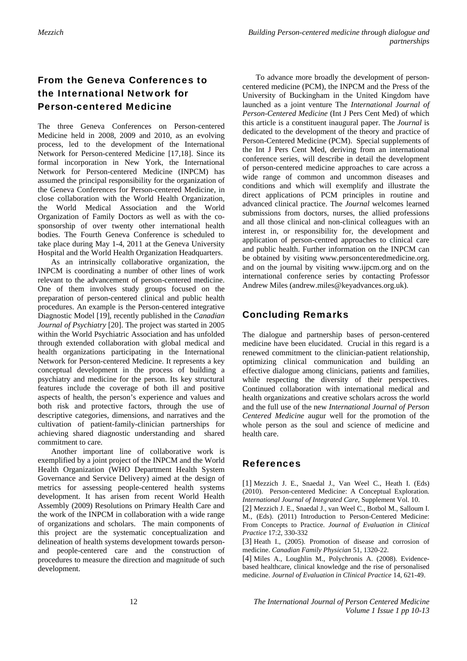# From the Geneva Conferences to the International Network for Person-centered Medicine

The three Geneva Conferences on Person-centered Medicine held in 2008, 2009 and 2010, as an evolving process, led to the development of the International Network for Person-centered Medicine [17,18]. Since its formal incorporation in New York, the International Network for Person-centered Medicine (INPCM) has assumed the principal responsibility for the organization of the Geneva Conferences for Person-centered Medicine, in close collaboration with the World Health Organization, the World Medical Association and the World Organization of Family Doctors as well as with the cosponsorship of over twenty other international health bodies. The Fourth Geneva Conference is scheduled to take place during May 1-4, 2011 at the Geneva University Hospital and the World Health Organization Headquarters.

As an intrinsically collaborative organization, the INPCM is coordinating a number of other lines of work relevant to the advancement of person-centered medicine. One of them involves study groups focused on the preparation of person-centered clinical and public health procedures. An example is the Person-centered integrative Diagnostic Model [19], recently published in the *Canadian Journal of Psychiatry* [20]. The project was started in 2005 within the World Psychiatric Association and has unfolded through extended collaboration with global medical and health organizations participating in the International Network for Person-centered Medicine. It represents a key conceptual development in the process of building a psychiatry and medicine for the person. Its key structural features include the coverage of both ill and positive aspects of health, the person's experience and values and both risk and protective factors, through the use of descriptive categories, dimensions, and narratives and the cultivation of patient-family-clinician partnerships for achieving shared diagnostic understanding and shared commitment to care.

Another important line of collaborative work is exemplified by a joint project of the INPCM and the World Health Organization (WHO Department Health System Governance and Service Delivery) aimed at the design of metrics for assessing people-centered health systems development. It has arisen from recent World Health Assembly (2009) Resolutions on Primary Health Care and the work of the INPCM in collaboration with a wide range of organizations and scholars. The main components of this project are the systematic conceptualization and delineation of health systems development towards personand people-centered care and the construction of procedures to measure the direction and magnitude of such development.

To advance more broadly the development of personcentered medicine (PCM), the INPCM and the Press of the University of Buckingham in the United Kingdom have launched as a joint venture The *International Journal of Person-Centered Medicine* (Int J Pers Cent Med) of which this article is a constituent inaugural paper. The *Journal* is dedicated to the development of the theory and practice of Person-Centered Medicine (PCM). Special supplements of the Int J Pers Cent Med, deriving from an international conference series, will describe in detail the development of person-centered medicine approaches to care across a wide range of common and uncommon diseases and conditions and which will exemplify and illustrate the direct applications of PCM principles in routine and advanced clinical practice. The *Journal* welcomes learned submissions from doctors, nurses, the allied professions and all those clinical and non-clinical colleagues with an interest in, or responsibility for, the development and application of person-centred approaches to clinical care and public health. Further information on the INPCM can be obtained by visiting www.personcenteredmedicine.org. and on the journal by visiting www.ijpcm.org and on the international conference series by contacting Professor Andrew Miles (andrew.miles@keyadvances.org.uk).

### Concluding Remarks

The dialogue and partnership bases of person-centered medicine have been elucidated. Crucial in this regard is a renewed commitment to the clinician-patient relationship, optimizing clinical communication and building an effective dialogue among clinicians, patients and families, while respecting the diversity of their perspectives. Continued collaboration with international medical and health organizations and creative scholars across the world and the full use of the new *International Journal of Person Centered Medicine* augur well for the promotion of the whole person as the soul and science of medicine and health care.

### References

[1] Mezzich J. E., Snaedal J., Van Weel C., Heath I. (Eds) (2010). Person-centered Medicine: A Conceptual Exploration. *International Journal of Integrated Care*, Supplement Vol. 10.

[2] Mezzich J. E., Snaedal J., van Weel C., Botbol M., Salloum I. M., (Eds). (2011) Introduction to Person-Centered Medicine: From Concepts to Practice. *Journal of Evaluation in Clinical Practice* 17:2, 330-332

[3] Heath I., (2005). Promotion of disease and corrosion of medicine. *Canadian Family Physician* 51, 1320-22.

[4] Miles A., Loughlin M., Polychronis A. (2008). Evidencebased healthcare, clinical knowledge and the rise of personalised medicine. *Journal of Evaluation in Clinical Practice* 14, 621-49.

12 *The International Journal of Person Centered Medicine Volume 1 Issue 1 pp 10-13*